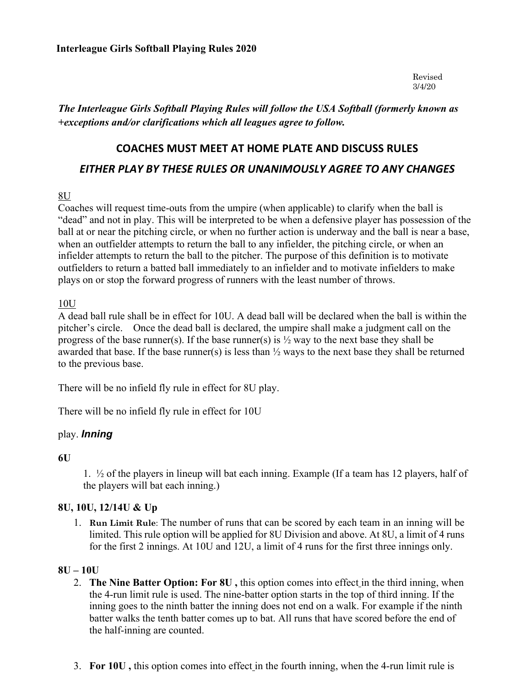Revised 3/4/20

*The Interleague Girls Softball Playing Rules will follow the USA Softball (formerly known as +exceptions and/or clarifications which all leagues agree to follow.*

#### **COACHES MUST MEET AT HOME PLATE AND DISCUSS RULES**

#### *EITHER PLAY BY THESE RULES OR UNANIMOUSLY AGREE TO ANY CHANGES*

#### 8U

Coaches will request time-outs from the umpire (when applicable) to clarify when the ball is "dead" and not in play. This will be interpreted to be when a defensive player has possession of the ball at or near the pitching circle, or when no further action is underway and the ball is near a base, when an outfielder attempts to return the ball to any infielder, the pitching circle, or when an infielder attempts to return the ball to the pitcher. The purpose of this definition is to motivate outfielders to return a batted ball immediately to an infielder and to motivate infielders to make plays on or stop the forward progress of runners with the least number of throws.

#### 10U

A dead ball rule shall be in effect for 10U. A dead ball will be declared when the ball is within the pitcher's circle. Once the dead ball is declared, the umpire shall make a judgment call on the progress of the base runner(s). If the base runner(s) is  $\frac{1}{2}$  way to the next base they shall be awarded that base. If the base runner(s) is less than  $\frac{1}{2}$  ways to the next base they shall be returned to the previous base.

There will be no infield fly rule in effect for 8U play.

There will be no infield fly rule in effect for 10U

#### play. *Inning*

**6U**

1. ½ of the players in lineup will bat each inning. Example (If a team has 12 players, half of the players will bat each inning.)

#### **8U, 10U, 12/14U & Up**

1. **Run Limit Rule**: The number of runs that can be scored by each team in an inning will be limited. This rule option will be applied for 8U Division and above. At 8U, a limit of 4 runs for the first 2 innings. At 10U and 12U, a limit of 4 runs for the first three innings only.

#### **8U – 10U**

- 2. **The Nine Batter Option: For 8U ,** this option comes into effect in the third inning, when the 4-run limit rule is used. The nine-batter option starts in the top of third inning. If the inning goes to the ninth batter the inning does not end on a walk. For example if the ninth batter walks the tenth batter comes up to bat. All runs that have scored before the end of the half-inning are counted.
- 3. **For 10U ,** this option comes into effect in the fourth inning, when the 4-run limit rule is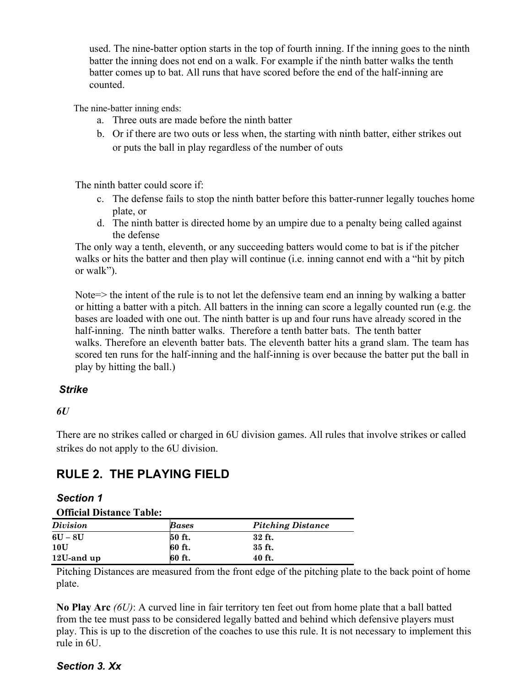used. The nine-batter option starts in the top of fourth inning. If the inning goes to the ninth batter the inning does not end on a walk. For example if the ninth batter walks the tenth batter comes up to bat. All runs that have scored before the end of the half-inning are counted.

The nine-batter inning ends:

- a. Three outs are made before the ninth batter
- b. Or if there are two outs or less when, the starting with ninth batter, either strikes out or puts the ball in play regardless of the number of outs

The ninth batter could score if:

- c. The defense fails to stop the ninth batter before this batter-runner legally touches home plate, or
- d. The ninth batter is directed home by an umpire due to a penalty being called against the defense

The only way a tenth, eleventh, or any succeeding batters would come to bat is if the pitcher walks or hits the batter and then play will continue (i.e. inning cannot end with a "hit by pitch or walk").

Note=> the intent of the rule is to not let the defensive team end an inning by walking a batter or hitting a batter with a pitch. All batters in the inning can score a legally counted run (e.g. the bases are loaded with one out. The ninth batter is up and four runs have already scored in the half-inning. The ninth batter walks. Therefore a tenth batter bats. The tenth batter walks. Therefore an eleventh batter bats. The eleventh batter hits a grand slam. The team has scored ten runs for the half-inning and the half-inning is over because the batter put the ball in play by hitting the ball.)

#### *Strike*

#### *6U*

There are no strikes called or charged in 6U division games. All rules that involve strikes or called strikes do not apply to the 6U division.

# **RULE 2. THE PLAYING FIELD**

### *Section 1*

| <b>Official Distance Table:</b> |  |
|---------------------------------|--|
|---------------------------------|--|

| Division   | <b>Bases</b> | <b>Pitching Distance</b> |
|------------|--------------|--------------------------|
| $6U - 8U$  | 50 ft.       | 32 ft.                   |
| 10U        | 60 ft.       | 35 ft.                   |
| 12U-and up | 60 ft.       | 40 ft.                   |

Pitching Distances are measured from the front edge of the pitching plate to the back point of home plate.

**No Play Arc** *(6U)*: A curved line in fair territory ten feet out from home plate that a ball batted from the tee must pass to be considered legally batted and behind which defensive players must play. This is up to the discretion of the coaches to use this rule. It is not necessary to implement this rule in 6U.

### *Section 3. Xx*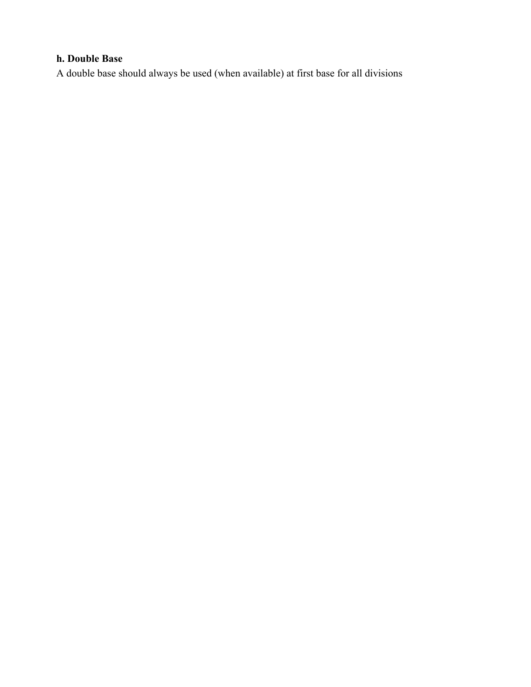## **h. Double Base**

A double base should always be used (when available) at first base for all divisions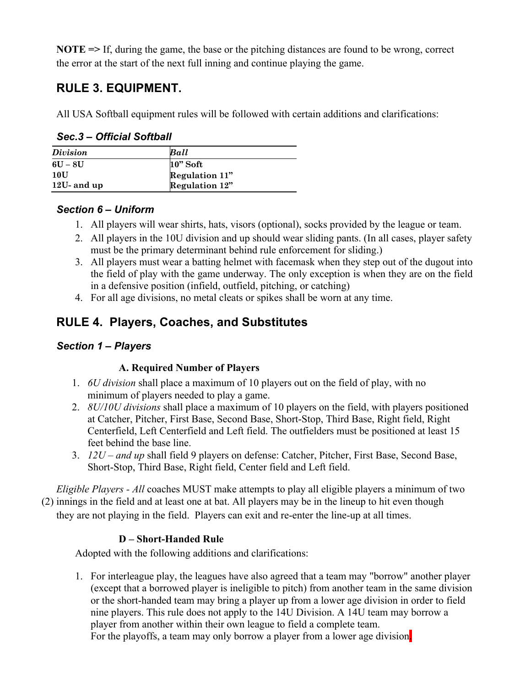**NOTE =>** If, during the game, the base or the pitching distances are found to be wrong, correct the error at the start of the next full inning and continue playing the game.

## **RULE 3. EQUIPMENT.**

All USA Softball equipment rules will be followed with certain additions and clarifications:

| <u>occ.o – Omona ochodn</u> |                |  |
|-----------------------------|----------------|--|
| <i>Division</i>             | Ball           |  |
| $6U - 8U$                   | $10"$ Soft     |  |
| 10U                         | Regulation 11" |  |
| $12U$ - and up              | Regulation 12" |  |

### *Sec.3 – Official Softball*

### *Section 6 – Uniform*

- 1. All players will wear shirts, hats, visors (optional), socks provided by the league or team.
- 2. All players in the 10U division and up should wear sliding pants. (In all cases, player safety must be the primary determinant behind rule enforcement for sliding.)
- 3. All players must wear a batting helmet with facemask when they step out of the dugout into the field of play with the game underway. The only exception is when they are on the field in a defensive position (infield, outfield, pitching, or catching)
- 4. For all age divisions, no metal cleats or spikes shall be worn at any time.

# **RULE 4. Players, Coaches, and Substitutes**

## *Section 1 – Players*

### **A. Required Number of Players**

- 1. *6U division* shall place a maximum of 10 players out on the field of play, with no minimum of players needed to play a game.
- 2. *8U/10U divisions* shall place a maximum of 10 players on the field, with players positioned at Catcher, Pitcher, First Base, Second Base, Short-Stop, Third Base, Right field, Right Centerfield, Left Centerfield and Left field. The outfielders must be positioned at least 15 feet behind the base line.
- 3. *12U – and up* shall field 9 players on defense: Catcher, Pitcher, First Base, Second Base, Short-Stop, Third Base, Right field, Center field and Left field.

*Eligible Players - All* coaches MUST make attempts to play all eligible players a minimum of two (2) innings in the field and at least one at bat. All players may be in the lineup to hit even though they are not playing in the field. Players can exit and re-enter the line-up at all times.

## **D – Short-Handed Rule**

Adopted with the following additions and clarifications:

1. For interleague play, the leagues have also agreed that a team may "borrow" another player (except that a borrowed player is ineligible to pitch) from another team in the same division or the short-handed team may bring a player up from a lower age division in order to field nine players. This rule does not apply to the 14U Division. A 14U team may borrow a player from another within their own league to field a complete team. For the playoffs, a team may only borrow a player from a lower age division.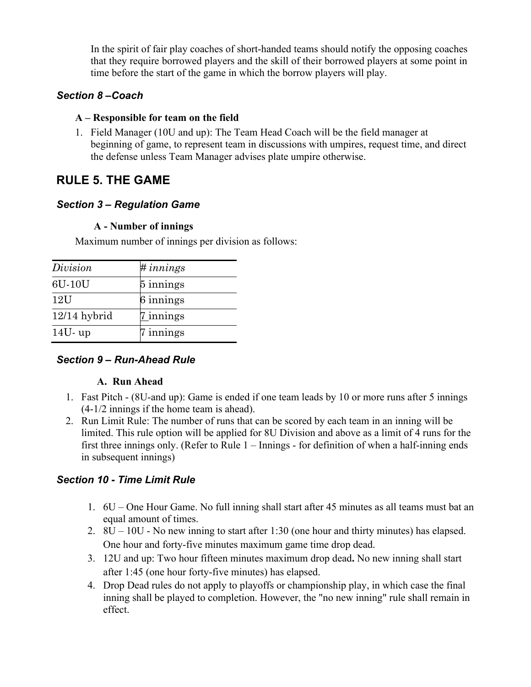In the spirit of fair play coaches of short-handed teams should notify the opposing coaches that they require borrowed players and the skill of their borrowed players at some point in time before the start of the game in which the borrow players will play.

### *Section 8 –Coach*

#### **A – Responsible for team on the field**

1. Field Manager (10U and up): The Team Head Coach will be the field manager at beginning of game, to represent team in discussions with umpires, request time, and direct the defense unless Team Manager advises plate umpire otherwise.

# **RULE 5. THE GAME**

### *Section 3 – Regulation Game*

### **A - Number of innings**

Maximum number of innings per division as follows:

| Division       | $\#$ innings |
|----------------|--------------|
| 6U-10U         | 5 innings    |
| 12U            | 6 innings    |
| $12/14$ hybrid | innings      |
| $14U$ - up     | innings      |

## *Section 9 – Run-Ahead Rule*

#### **A. Run Ahead**

- 1. Fast Pitch (8U-and up): Game is ended if one team leads by 10 or more runs after 5 innings (4-1/2 innings if the home team is ahead).
- 2. Run Limit Rule: The number of runs that can be scored by each team in an inning will be limited. This rule option will be applied for 8U Division and above as a limit of 4 runs for the first three innings only. (Refer to Rule 1 – Innings - for definition of when a half-inning ends in subsequent innings)

## *Section 10 - Time Limit Rule*

- 1. 6U One Hour Game. No full inning shall start after 45 minutes as all teams must bat an equal amount of times.
- 2. 8U 10U No new inning to start after 1:30 (one hour and thirty minutes) has elapsed. One hour and forty-five minutes maximum game time drop dead.
- 3. 12U and up: Two hour fifteen minutes maximum drop dead**.** No new inning shall start after 1:45 (one hour forty-five minutes) has elapsed.
- 4. Drop Dead rules do not apply to playoffs or championship play, in which case the final inning shall be played to completion. However, the "no new inning" rule shall remain in effect.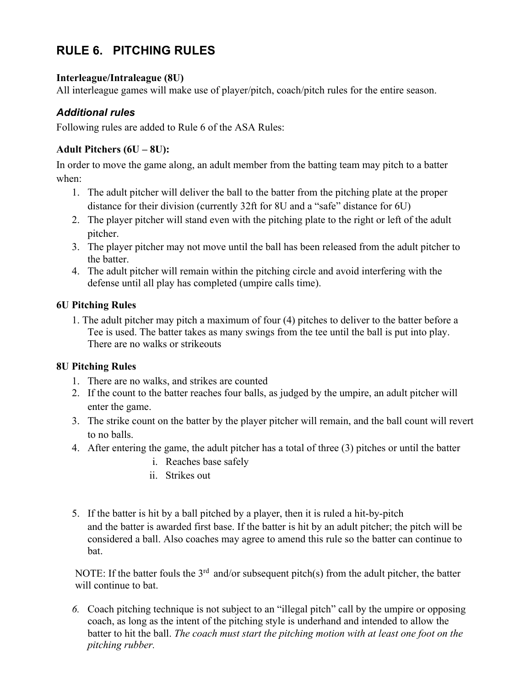# **RULE 6. PITCHING RULES**

#### **Interleague/Intraleague (8U)**

All interleague games will make use of player/pitch, coach/pitch rules for the entire season.

### *Additional rules*

Following rules are added to Rule 6 of the ASA Rules:

### **Adult Pitchers (6U – 8U):**

In order to move the game along, an adult member from the batting team may pitch to a batter when:

- 1. The adult pitcher will deliver the ball to the batter from the pitching plate at the proper distance for their division (currently 32ft for 8U and a "safe" distance for 6U)
- 2. The player pitcher will stand even with the pitching plate to the right or left of the adult pitcher.
- 3. The player pitcher may not move until the ball has been released from the adult pitcher to the batter.
- 4. The adult pitcher will remain within the pitching circle and avoid interfering with the defense until all play has completed (umpire calls time).

#### **6U Pitching Rules**

1. The adult pitcher may pitch a maximum of four (4) pitches to deliver to the batter before a Tee is used. The batter takes as many swings from the tee until the ball is put into play. There are no walks or strikeouts

### **8U Pitching Rules**

- 1. There are no walks, and strikes are counted
- 2. If the count to the batter reaches four balls, as judged by the umpire, an adult pitcher will enter the game.
- 3. The strike count on the batter by the player pitcher will remain, and the ball count will revert to no balls.
- 4. After entering the game, the adult pitcher has a total of three (3) pitches or until the batter
	- i. Reaches base safely
	- ii. Strikes out
- 5. If the batter is hit by a ball pitched by a player, then it is ruled a hit-by-pitch and the batter is awarded first base. If the batter is hit by an adult pitcher; the pitch will be considered a ball. Also coaches may agree to amend this rule so the batter can continue to bat.

NOTE: If the batter fouls the 3<sup>rd</sup> and/or subsequent pitch(s) from the adult pitcher, the batter will continue to bat.

*6.* Coach pitching technique is not subject to an "illegal pitch" call by the umpire or opposing coach, as long as the intent of the pitching style is underhand and intended to allow the batter to hit the ball. *The coach must start the pitching motion with at least one foot on the pitching rubber.*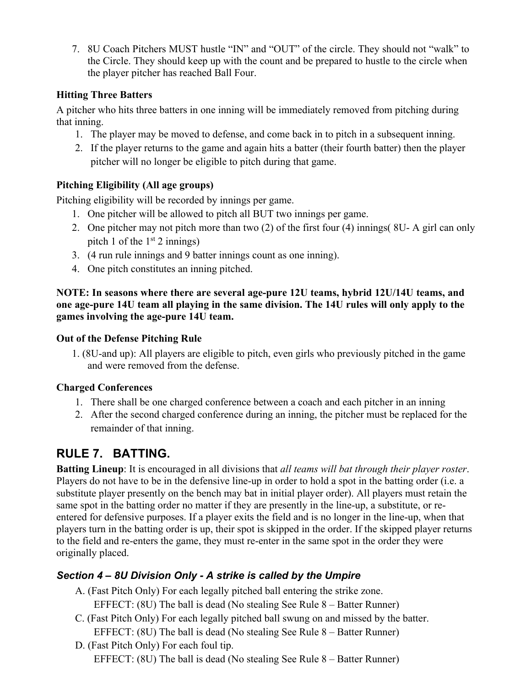7. 8U Coach Pitchers MUST hustle "IN" and "OUT" of the circle. They should not "walk" to the Circle. They should keep up with the count and be prepared to hustle to the circle when the player pitcher has reached Ball Four.

### **Hitting Three Batters**

A pitcher who hits three batters in one inning will be immediately removed from pitching during that inning.

- 1. The player may be moved to defense, and come back in to pitch in a subsequent inning.
- 2. If the player returns to the game and again hits a batter (their fourth batter) then the player pitcher will no longer be eligible to pitch during that game.

## **Pitching Eligibility (All age groups)**

Pitching eligibility will be recorded by innings per game.

- 1. One pitcher will be allowed to pitch all BUT two innings per game.
- 2. One pitcher may not pitch more than two (2) of the first four (4) innings( 8U- A girl can only pitch 1 of the  $1<sup>st</sup> 2$  innings)
- 3. (4 run rule innings and 9 batter innings count as one inning).
- 4. One pitch constitutes an inning pitched.

#### **NOTE: In seasons where there are several age-pure 12U teams, hybrid 12U/14U teams, and one age-pure 14U team all playing in the same division. The 14U rules will only apply to the games involving the age-pure 14U team.**

## **Out of the Defense Pitching Rule**

1. (8U-and up): All players are eligible to pitch, even girls who previously pitched in the game and were removed from the defense.

## **Charged Conferences**

- 1. There shall be one charged conference between a coach and each pitcher in an inning
- 2. After the second charged conference during an inning, the pitcher must be replaced for the remainder of that inning.

# **RULE 7. BATTING.**

**Batting Lineup**: It is encouraged in all divisions that *all teams will bat through their player roster*. Players do not have to be in the defensive line-up in order to hold a spot in the batting order (i.e. a substitute player presently on the bench may bat in initial player order). All players must retain the same spot in the batting order no matter if they are presently in the line-up, a substitute, or reentered for defensive purposes. If a player exits the field and is no longer in the line-up, when that players turn in the batting order is up, their spot is skipped in the order. If the skipped player returns to the field and re-enters the game, they must re-enter in the same spot in the order they were originally placed.

## *Section 4 – 8U Division Only - A strike is called by the Umpire*

- A. (Fast Pitch Only) For each legally pitched ball entering the strike zone.
	- EFFECT: (8U) The ball is dead (No stealing See Rule 8 Batter Runner)
- C. (Fast Pitch Only) For each legally pitched ball swung on and missed by the batter. EFFECT: (8U) The ball is dead (No stealing See Rule 8 – Batter Runner)
- D. (Fast Pitch Only) For each foul tip. EFFECT: (8U) The ball is dead (No stealing See Rule 8 – Batter Runner)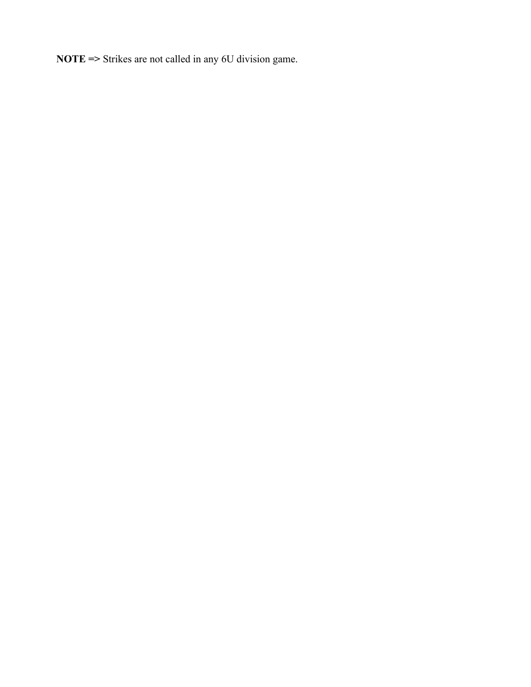**NOTE =>** Strikes are not called in any 6U division game.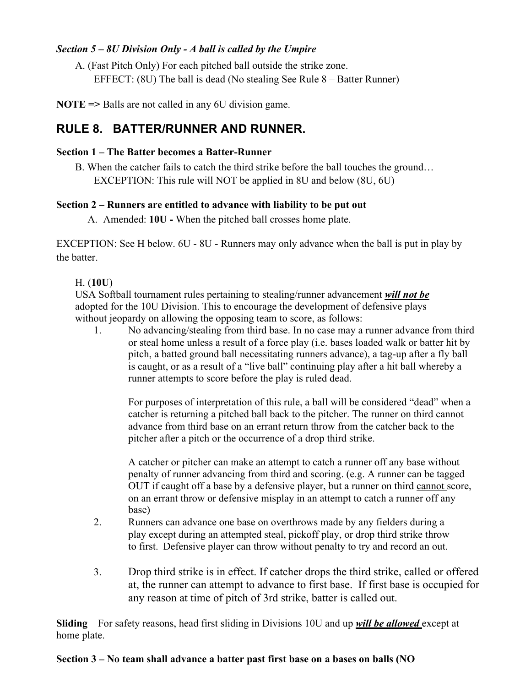#### *Section 5 – 8U Division Only - A ball is called by the Umpire*

A. (Fast Pitch Only) For each pitched ball outside the strike zone. EFFECT: (8U) The ball is dead (No stealing See Rule 8 – Batter Runner)

**NOTE =>** Balls are not called in any 6U division game.

## **RULE 8. BATTER/RUNNER AND RUNNER.**

#### **Section 1 – The Batter becomes a Batter-Runner**

B. When the catcher fails to catch the third strike before the ball touches the ground… EXCEPTION: This rule will NOT be applied in 8U and below (8U, 6U)

#### **Section 2 – Runners are entitled to advance with liability to be put out**

A. Amended: **10U -** When the pitched ball crosses home plate.

EXCEPTION: See H below. 6U - 8U - Runners may only advance when the ball is put in play by the batter.

#### H. (**10U**)

USA Softball tournament rules pertaining to stealing/runner advancement *will not be*  adopted for the 10U Division. This to encourage the development of defensive plays without jeopardy on allowing the opposing team to score, as follows:

1. No advancing/stealing from third base. In no case may a runner advance from third or steal home unless a result of a force play (i.e. bases loaded walk or batter hit by pitch, a batted ground ball necessitating runners advance), a tag-up after a fly ball is caught, or as a result of a "live ball" continuing play after a hit ball whereby a runner attempts to score before the play is ruled dead.

For purposes of interpretation of this rule, a ball will be considered "dead" when a catcher is returning a pitched ball back to the pitcher. The runner on third cannot advance from third base on an errant return throw from the catcher back to the pitcher after a pitch or the occurrence of a drop third strike.

A catcher or pitcher can make an attempt to catch a runner off any base without penalty of runner advancing from third and scoring. (e.g. A runner can be tagged OUT if caught off a base by a defensive player, but a runner on third cannot score, on an errant throw or defensive misplay in an attempt to catch a runner off any base)

- 2. Runners can advance one base on overthrows made by any fielders during a play except during an attempted steal, pickoff play, or drop third strike throw to first. Defensive player can throw without penalty to try and record an out.
- 3. Drop third strike is in effect. If catcher drops the third strike, called or offered at, the runner can attempt to advance to first base. If first base is occupied for any reason at time of pitch of 3rd strike, batter is called out.

**Sliding** – For safety reasons, head first sliding in Divisions 10U and up *will be allowed* except at home plate.

#### **Section 3 – No team shall advance a batter past first base on a bases on balls (NO**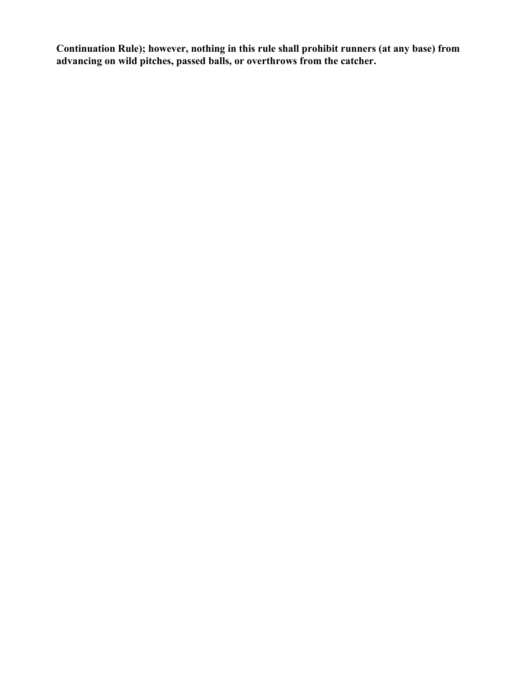**Continuation Rule); however, nothing in this rule shall prohibit runners (at any base) from advancing on wild pitches, passed balls, or overthrows from the catcher.**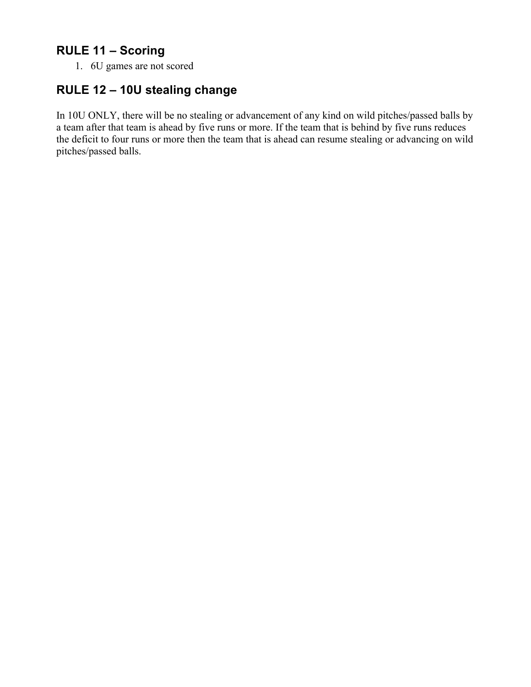# **RULE 11 – Scoring**

1. 6U games are not scored

# **RULE 12 – 10U stealing change**

In 10U ONLY, there will be no stealing or advancement of any kind on wild pitches/passed balls by a team after that team is anead by five runs or more. If the team that is befind by five runs reduces the deficit to four runs or more then the team that is ahead can resume stealing or advancing on wild a team after that team is ahead by five runs or more. If the team that is behind by five runs reduces pitches/passed balls.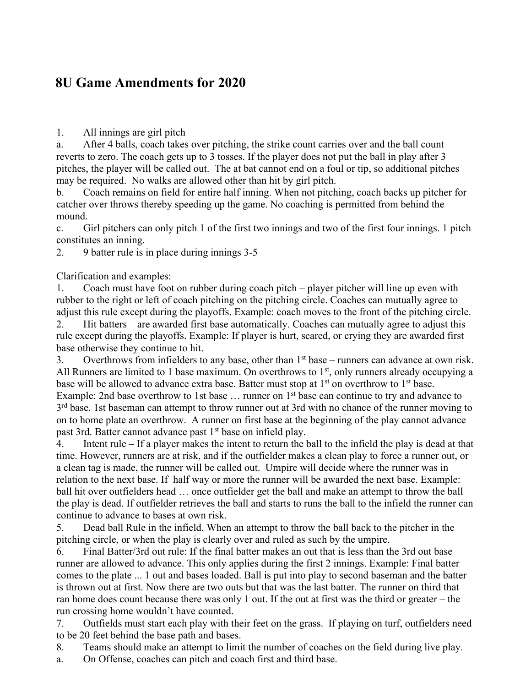# **8U Game Amendments for 2020**

1. All innings are girl pitch

a. After 4 balls, coach takes over pitching, the strike count carries over and the ball count reverts to zero. The coach gets up to 3 tosses. If the player does not put the ball in play after 3 pitches, the player will be called out. The at bat cannot end on a foul or tip, so additional pitches may be required. No walks are allowed other than hit by girl pitch.

b. Coach remains on field for entire half inning. When not pitching, coach backs up pitcher for catcher over throws thereby speeding up the game. No coaching is permitted from behind the mound.

c. Girl pitchers can only pitch 1 of the first two innings and two of the first four innings. 1 pitch constitutes an inning.

2. 9 batter rule is in place during innings 3-5

Clarification and examples:

1. Coach must have foot on rubber during coach pitch – player pitcher will line up even with rubber to the right or left of coach pitching on the pitching circle. Coaches can mutually agree to adjust this rule except during the playoffs. Example: coach moves to the front of the pitching circle.

2. Hit batters – are awarded first base automatically. Coaches can mutually agree to adjust this rule except during the playoffs. Example: If player is hurt, scared, or crying they are awarded first base otherwise they continue to hit.

3. Overthrows from infielders to any base, other than  $1<sup>st</sup>$  base – runners can advance at own risk. All Runners are limited to 1 base maximum. On overthrows to  $1<sup>st</sup>$ , only runners already occupying a base will be allowed to advance extra base. Batter must stop at  $1<sup>st</sup>$  on overthrow to  $1<sup>st</sup>$  base. Example: 2nd base overthrow to 1st base  $\ldots$  runner on 1<sup>st</sup> base can continue to try and advance to  $3<sup>rd</sup>$  base. 1st baseman can attempt to throw runner out at 3rd with no chance of the runner moving to on to home plate an overthrow. A runner on first base at the beginning of the play cannot advance past 3rd. Batter cannot advance past 1<sup>st</sup> base on infield play.

4. Intent rule – If a player makes the intent to return the ball to the infield the play is dead at that time. However, runners are at risk, and if the outfielder makes a clean play to force a runner out, or a clean tag is made, the runner will be called out. Umpire will decide where the runner was in relation to the next base. If half way or more the runner will be awarded the next base. Example: ball hit over outfielders head … once outfielder get the ball and make an attempt to throw the ball the play is dead. If outfielder retrieves the ball and starts to runs the ball to the infield the runner can continue to advance to bases at own risk.

5. Dead ball Rule in the infield. When an attempt to throw the ball back to the pitcher in the pitching circle, or when the play is clearly over and ruled as such by the umpire.

6. Final Batter/3rd out rule: If the final batter makes an out that is less than the 3rd out base runner are allowed to advance. This only applies during the first 2 innings. Example: Final batter comes to the plate ... 1 out and bases loaded. Ball is put into play to second baseman and the batter is thrown out at first. Now there are two outs but that was the last batter. The runner on third that ran home does count because there was only 1 out. If the out at first was the third or greater – the run crossing home wouldn't have counted.

7. Outfields must start each play with their feet on the grass. If playing on turf, outfielders need to be 20 feet behind the base path and bases.

- 8. Teams should make an attempt to limit the number of coaches on the field during live play.
- a. On Offense, coaches can pitch and coach first and third base.